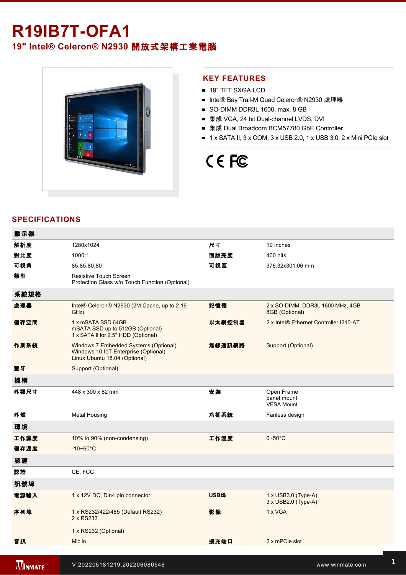## **R19IB7T-OFA1**

### **19" Intel® Celeron® N2930** 開放式架構工業電腦



### **KEY FEATURES**

- 19" TFT SXGA LCD
- Intel® Bay Trail-M Quad Celeron® N2930 處理器
- SO-DIMM DDR3L 1600, max. 8 GB
- 集成 VGA, 24 bit Dual-channel LVDS, DVI
- 集成 Dual Broadcom BCM57780 GbE Controller
- $\blacksquare$  1 x SATA II, 3 x COM, 3 x USB 2.0, 1 x USB 3.0, 2 x Mini PCIe slot

# CE FC

### **SPECIFICATIONS**

| 顯示器            |                                                                                                                |             |                                                          |
|----------------|----------------------------------------------------------------------------------------------------------------|-------------|----------------------------------------------------------|
| 解析度            | 1280x1024                                                                                                      | 尺寸          | 19 inches                                                |
| 對比度            | 1000:1                                                                                                         | 面版亮度        | 400 nits                                                 |
| 可視角            | 85,85,80,80                                                                                                    | 可視區         | 376.32x301.06 mm                                         |
| 類型             | Resistive Touch Screen<br>Protection Glass w/o Touch Function (Optional)                                       |             |                                                          |
| 系統規格           |                                                                                                                |             |                                                          |
| 處理器            | Intel® Celeron® N2930 (2M Cache, up to 2.16<br>GHz)                                                            | 記憶體         | 2 x SO-DIMM, DDR3L 1600 MHz, 4GB<br>8GB (Optional)       |
| 儲存空間           | 1 x mSATA SSD 64GB<br>mSATA SSD up to 512GB (Optional)<br>1 x SATA II for 2.5" HDD (Optional)                  | 以太網控制器      | 2 x Intel® Ethernet Controller I210-AT                   |
| 作業系統           | Windows 7 Embedded Systems (Optional)<br>Windows 10 IoT Enterprise (Optional)<br>Linux Ubuntu 18.04 (Optional) | 無線通訊網路      | Support (Optional)                                       |
| 藍牙             | Support (Optional)                                                                                             |             |                                                          |
| 機構             |                                                                                                                |             |                                                          |
| 外觀尺寸           | 448 x 300 x 82 mm                                                                                              | 安装          | Open Frame<br>panel mount<br><b>VESA Mount</b>           |
| 外殼             | <b>Metal Housing</b>                                                                                           | 冷卻系統        | Fanless design                                           |
| 環境             |                                                                                                                |             |                                                          |
| 工作濕度           | 10% to 90% (non-condensing)                                                                                    | 工作溫度        | $0 - 50$ °C                                              |
| 儲存溫度           | $-10 - 60^{\circ}C$                                                                                            |             |                                                          |
| 認證             |                                                                                                                |             |                                                          |
| 認證             | CE, FCC                                                                                                        |             |                                                          |
| 訊號埠            |                                                                                                                |             |                                                          |
| 電源輸入           | 1 x 12V DC, Din4 pin connector                                                                                 | <b>USB埠</b> | $1 \times$ USB3.0 (Type-A)<br>$3 \times$ USB2.0 (Type-A) |
| 序列埠            | 1 x RS232/422/485 (Default RS232)<br>2 x RS232                                                                 | 影像          | 1 x VGA                                                  |
|                | 1 x RS232 (Optional)                                                                                           |             |                                                          |
| 音訊             | Mic in                                                                                                         | 擴充端口        | 2 x mPCle slot                                           |
| <b>MINMATE</b> | V.202205181219.202206080546                                                                                    |             | www.winmate.com                                          |